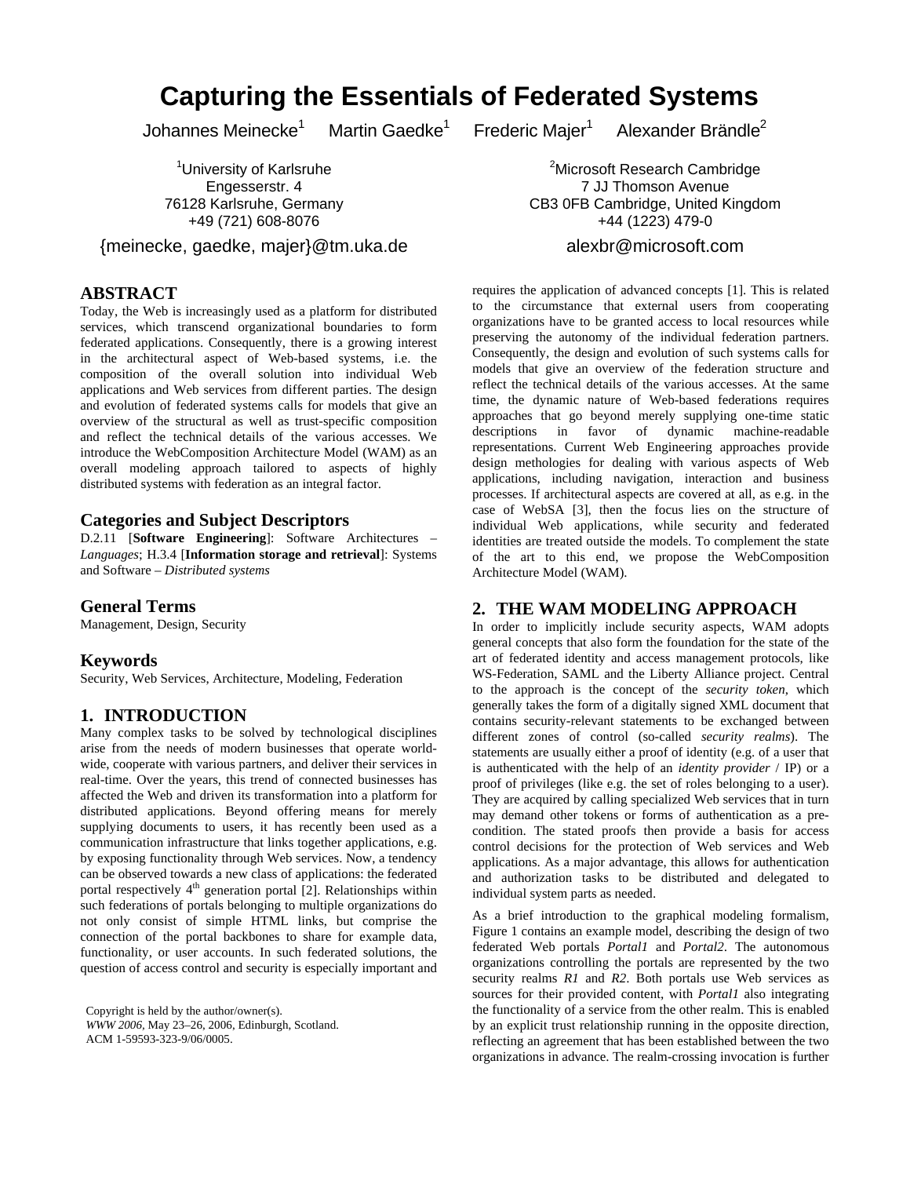# **Capturing the Essentials of Federated Systems**

Johannes Meinecke<sup>1</sup> Martin Gaedke<sup>1</sup>

<sup>1</sup>University of Karlsruhe Engesserstr. 4 76128 Karlsruhe, Germany +49 (721) 608-8076

{meinecke, gaedke, majer}@tm.uka.de

# **ABSTRACT**

Today, the Web is increasingly used as a platform for distributed services, which transcend organizational boundaries to form federated applications. Consequently, there is a growing interest in the architectural aspect of Web-based systems, i.e. the composition of the overall solution into individual Web applications and Web services from different parties. The design and evolution of federated systems calls for models that give an overview of the structural as well as trust-specific composition and reflect the technical details of the various accesses. We introduce the WebComposition Architecture Model (WAM) as an overall modeling approach tailored to aspects of highly distributed systems with federation as an integral factor.

#### **Categories and Subject Descriptors**

D.2.11 [**Software Engineering**]: Software Architectures – *Languages*; H.3.4 [**Information storage and retrieval**]: Systems and Software – *Distributed systems* 

# **General Terms**

Management, Design, Security

#### **Keywords**

Security, Web Services, Architecture, Modeling, Federation

# **1. INTRODUCTION**

Many complex tasks to be solved by technological disciplines arise from the needs of modern businesses that operate worldwide, cooperate with various partners, and deliver their services in real-time. Over the years, this trend of connected businesses has affected the Web and driven its transformation into a platform for distributed applications. Beyond offering means for merely supplying documents to users, it has recently been used as a communication infrastructure that links together applications, e.g. by exposing functionality through Web services. Now, a tendency can be observed towards a new class of applications: the federated portal respectively  $4<sup>th</sup>$  generation portal  $\hat{12}$ . Relationships within such federations of portals belonging to multiple organizations do not only consist of simple HTML links, but comprise the connection of the portal backbones to share for example data, functionality, or user accounts. In such federated solutions, the question of access control and security is especially important and

Copyright is held by the author/owner(s). *WWW 2006,* May 23–26, 2006, Edinburgh, Scotland. ACM 1-59593-323-9/06/0005.

Frederic Majer<sup>1</sup> Alexander Brändle<sup>2</sup>

> <sup>2</sup>Microsoft Research Cambridge 7 JJ Thomson Avenue CB3 0FB Cambridge, United Kingdom +44 (1223) 479-0

# alexbr@microsoft.com

requires the application of advanced concepts [1]. This is related to the circumstance that external users from cooperating organizations have to be granted access to local resources while preserving the autonomy of the individual federation partners. Consequently, the design and evolution of such systems calls for models that give an overview of the federation structure and reflect the technical details of the various accesses. At the same time, the dynamic nature of Web-based federations requires approaches that go beyond merely supplying one-time static descriptions in favor of dynamic machine-readable representations. Current Web Engineering approaches provide design methologies for dealing with various aspects of Web applications, including navigation, interaction and business processes. If architectural aspects are covered at all, as e.g. in the case of WebSA [3], then the focus lies on the structure of individual Web applications, while security and federated identities are treated outside the models. To complement the state of the art to this end, we propose the WebComposition Architecture Model (WAM).

# **2. THE WAM MODELING APPROACH**

In order to implicitly include security aspects, WAM adopts general concepts that also form the foundation for the state of the art of federated identity and access management protocols, like WS-Federation, SAML and the Liberty Alliance project. Central to the approach is the concept of the *security token*, which generally takes the form of a digitally signed XML document that contains security-relevant statements to be exchanged between different zones of control (so-called *security realms*). The statements are usually either a proof of identity (e.g. of a user that is authenticated with the help of an *identity provider* / IP) or a proof of privileges (like e.g. the set of roles belonging to a user). They are acquired by calling specialized Web services that in turn may demand other tokens or forms of authentication as a precondition. The stated proofs then provide a basis for access control decisions for the protection of Web services and Web applications. As a major advantage, this allows for authentication and authorization tasks to be distributed and delegated to individual system parts as needed.

As a brief introduction to the graphical modeling formalism, Figure 1 contains an example model, describing the design of two federated Web portals *Portal1* and *Portal2*. The autonomous organizations controlling the portals are represented by the two security realms *R1* and *R2*. Both portals use Web services as sources for their provided content, with *Portal1* also integrating the functionality of a service from the other realm. This is enabled by an explicit trust relationship running in the opposite direction, reflecting an agreement that has been established between the two organizations in advance. The realm-crossing invocation is further